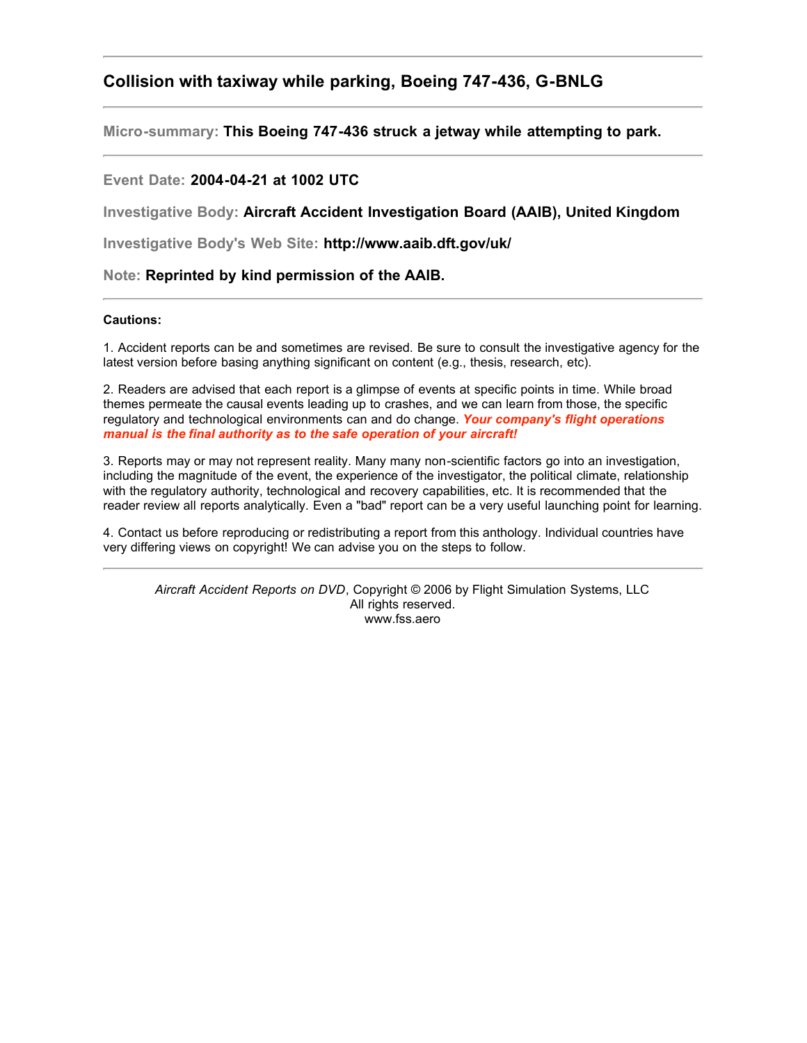# **Collision with taxiway while parking, Boeing 747-436, G-BNLG**

**Micro-summary: This Boeing 747-436 struck a jetway while attempting to park.**

## **Event Date: 2004-04-21 at 1002 UTC**

**Investigative Body: Aircraft Accident Investigation Board (AAIB), United Kingdom**

**Investigative Body's Web Site: http://www.aaib.dft.gov/uk/**

**Note: Reprinted by kind permission of the AAIB.**

### **Cautions:**

1. Accident reports can be and sometimes are revised. Be sure to consult the investigative agency for the latest version before basing anything significant on content (e.g., thesis, research, etc).

2. Readers are advised that each report is a glimpse of events at specific points in time. While broad themes permeate the causal events leading up to crashes, and we can learn from those, the specific regulatory and technological environments can and do change. *Your company's flight operations manual is the final authority as to the safe operation of your aircraft!*

3. Reports may or may not represent reality. Many many non-scientific factors go into an investigation, including the magnitude of the event, the experience of the investigator, the political climate, relationship with the regulatory authority, technological and recovery capabilities, etc. It is recommended that the reader review all reports analytically. Even a "bad" report can be a very useful launching point for learning.

4. Contact us before reproducing or redistributing a report from this anthology. Individual countries have very differing views on copyright! We can advise you on the steps to follow.

*Aircraft Accident Reports on DVD*, Copyright © 2006 by Flight Simulation Systems, LLC All rights reserved. www.fss.aero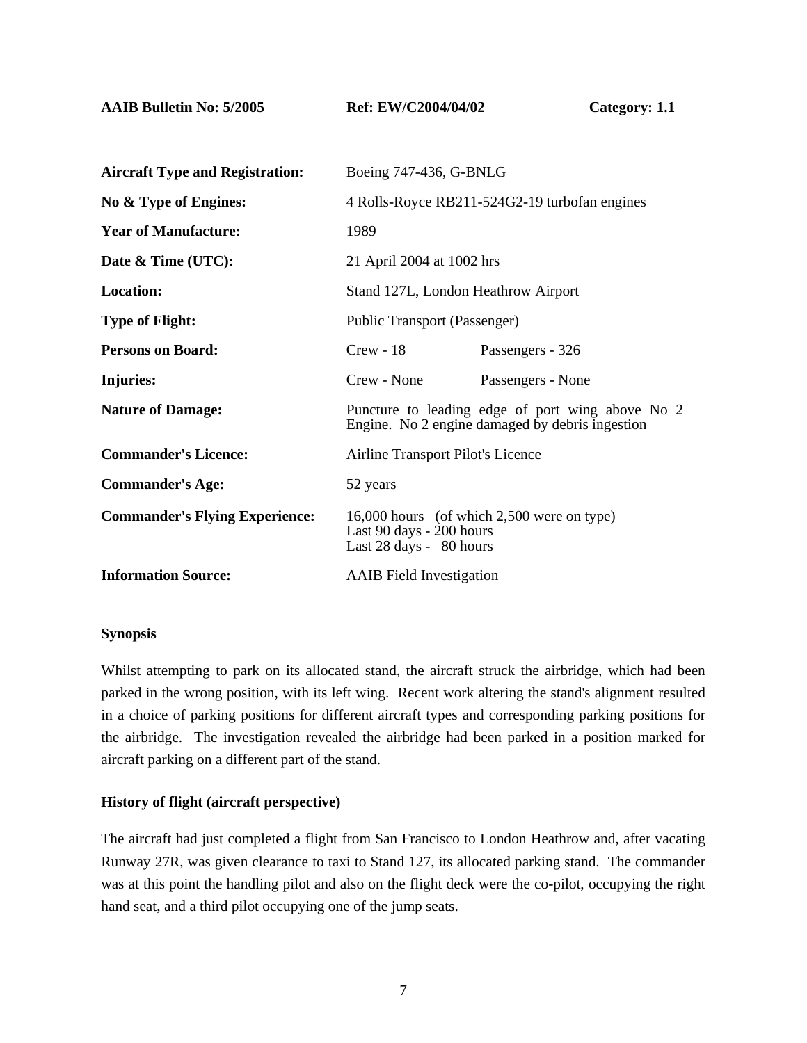**AAIB Bulletin No: 5/2005 Ref: EW/C2004/04/02 Category: 1.1** 

| <b>Aircraft Type and Registration:</b> | Boeing 747-436, G-BNLG                                                                              |                   |
|----------------------------------------|-----------------------------------------------------------------------------------------------------|-------------------|
| No & Type of Engines:                  | 4 Rolls-Royce RB211-524G2-19 turbofan engines                                                       |                   |
| <b>Year of Manufacture:</b>            | 1989                                                                                                |                   |
| Date & Time (UTC):                     | 21 April 2004 at 1002 hrs                                                                           |                   |
| Location:                              | Stand 127L, London Heathrow Airport                                                                 |                   |
| <b>Type of Flight:</b>                 | Public Transport (Passenger)                                                                        |                   |
| <b>Persons on Board:</b>               | $Crew - 18$                                                                                         | Passengers - 326  |
| Injuries:                              | Crew - None                                                                                         | Passengers - None |
| <b>Nature of Damage:</b>               | Puncture to leading edge of port wing above No 2<br>Engine. No 2 engine damaged by debris ingestion |                   |
| <b>Commander's Licence:</b>            | Airline Transport Pilot's Licence                                                                   |                   |
| <b>Commander's Age:</b>                | 52 years                                                                                            |                   |
| <b>Commander's Flying Experience:</b>  | 16,000 hours (of which 2,500 were on type)<br>Last 90 days - 200 hours<br>Last 28 days - 80 hours   |                   |
| <b>Information Source:</b>             | <b>AAIB</b> Field Investigation                                                                     |                   |

### **Synopsis**

Whilst attempting to park on its allocated stand, the aircraft struck the airbridge, which had been parked in the wrong position, with its left wing. Recent work altering the stand's alignment resulted in a choice of parking positions for different aircraft types and corresponding parking positions for the airbridge. The investigation revealed the airbridge had been parked in a position marked for aircraft parking on a different part of the stand.

## **History of flight (aircraft perspective)**

The aircraft had just completed a flight from San Francisco to London Heathrow and, after vacating Runway 27R, was given clearance to taxi to Stand 127, its allocated parking stand. The commander was at this point the handling pilot and also on the flight deck were the co-pilot, occupying the right hand seat, and a third pilot occupying one of the jump seats.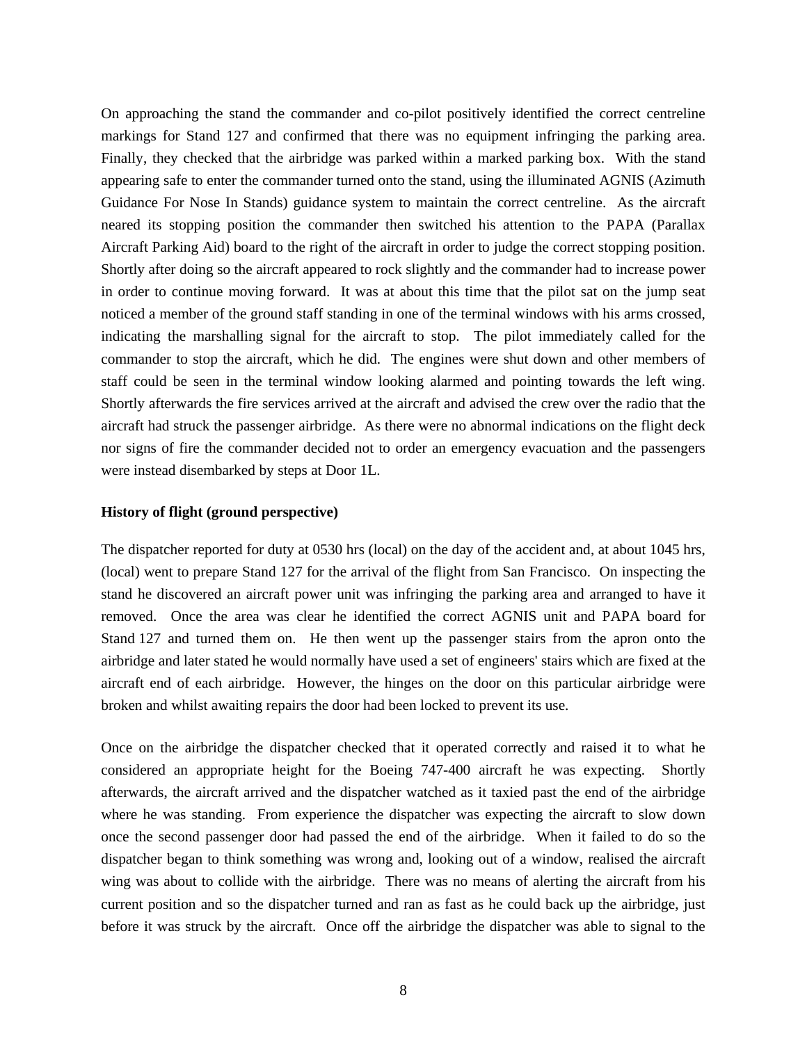On approaching the stand the commander and co-pilot positively identified the correct centreline markings for Stand 127 and confirmed that there was no equipment infringing the parking area. Finally, they checked that the airbridge was parked within a marked parking box. With the stand appearing safe to enter the commander turned onto the stand, using the illuminated AGNIS (Azimuth Guidance For Nose In Stands) guidance system to maintain the correct centreline. As the aircraft neared its stopping position the commander then switched his attention to the PAPA (Parallax Aircraft Parking Aid) board to the right of the aircraft in order to judge the correct stopping position. Shortly after doing so the aircraft appeared to rock slightly and the commander had to increase power in order to continue moving forward. It was at about this time that the pilot sat on the jump seat noticed a member of the ground staff standing in one of the terminal windows with his arms crossed, indicating the marshalling signal for the aircraft to stop. The pilot immediately called for the commander to stop the aircraft, which he did. The engines were shut down and other members of staff could be seen in the terminal window looking alarmed and pointing towards the left wing. Shortly afterwards the fire services arrived at the aircraft and advised the crew over the radio that the aircraft had struck the passenger airbridge. As there were no abnormal indications on the flight deck nor signs of fire the commander decided not to order an emergency evacuation and the passengers were instead disembarked by steps at Door 1L.

### **History of flight (ground perspective)**

The dispatcher reported for duty at 0530 hrs (local) on the day of the accident and, at about 1045 hrs, (local) went to prepare Stand 127 for the arrival of the flight from San Francisco. On inspecting the stand he discovered an aircraft power unit was infringing the parking area and arranged to have it removed. Once the area was clear he identified the correct AGNIS unit and PAPA board for Stand 127 and turned them on. He then went up the passenger stairs from the apron onto the airbridge and later stated he would normally have used a set of engineers' stairs which are fixed at the aircraft end of each airbridge. However, the hinges on the door on this particular airbridge were broken and whilst awaiting repairs the door had been locked to prevent its use.

Once on the airbridge the dispatcher checked that it operated correctly and raised it to what he considered an appropriate height for the Boeing 747-400 aircraft he was expecting. Shortly afterwards, the aircraft arrived and the dispatcher watched as it taxied past the end of the airbridge where he was standing. From experience the dispatcher was expecting the aircraft to slow down once the second passenger door had passed the end of the airbridge. When it failed to do so the dispatcher began to think something was wrong and, looking out of a window, realised the aircraft wing was about to collide with the airbridge. There was no means of alerting the aircraft from his current position and so the dispatcher turned and ran as fast as he could back up the airbridge, just before it was struck by the aircraft. Once off the airbridge the dispatcher was able to signal to the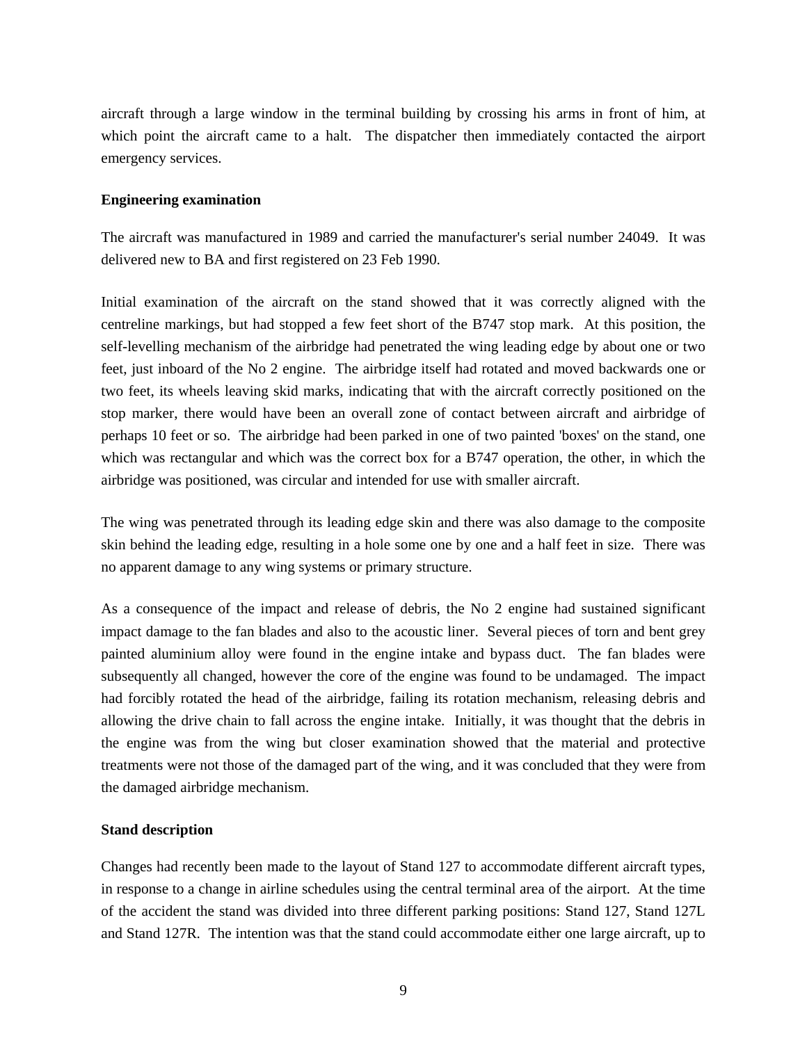aircraft through a large window in the terminal building by crossing his arms in front of him, at which point the aircraft came to a halt. The dispatcher then immediately contacted the airport emergency services.

### **Engineering examination**

The aircraft was manufactured in 1989 and carried the manufacturer's serial number 24049. It was delivered new to BA and first registered on 23 Feb 1990.

Initial examination of the aircraft on the stand showed that it was correctly aligned with the centreline markings, but had stopped a few feet short of the B747 stop mark. At this position, the self-levelling mechanism of the airbridge had penetrated the wing leading edge by about one or two feet, just inboard of the No 2 engine. The airbridge itself had rotated and moved backwards one or two feet, its wheels leaving skid marks, indicating that with the aircraft correctly positioned on the stop marker, there would have been an overall zone of contact between aircraft and airbridge of perhaps 10 feet or so. The airbridge had been parked in one of two painted 'boxes' on the stand, one which was rectangular and which was the correct box for a B747 operation, the other, in which the airbridge was positioned, was circular and intended for use with smaller aircraft.

The wing was penetrated through its leading edge skin and there was also damage to the composite skin behind the leading edge, resulting in a hole some one by one and a half feet in size. There was no apparent damage to any wing systems or primary structure.

As a consequence of the impact and release of debris, the No 2 engine had sustained significant impact damage to the fan blades and also to the acoustic liner. Several pieces of torn and bent grey painted aluminium alloy were found in the engine intake and bypass duct. The fan blades were subsequently all changed, however the core of the engine was found to be undamaged. The impact had forcibly rotated the head of the airbridge, failing its rotation mechanism, releasing debris and allowing the drive chain to fall across the engine intake. Initially, it was thought that the debris in the engine was from the wing but closer examination showed that the material and protective treatments were not those of the damaged part of the wing, and it was concluded that they were from the damaged airbridge mechanism.

### **Stand description**

Changes had recently been made to the layout of Stand 127 to accommodate different aircraft types, in response to a change in airline schedules using the central terminal area of the airport. At the time of the accident the stand was divided into three different parking positions: Stand 127, Stand 127L and Stand 127R. The intention was that the stand could accommodate either one large aircraft, up to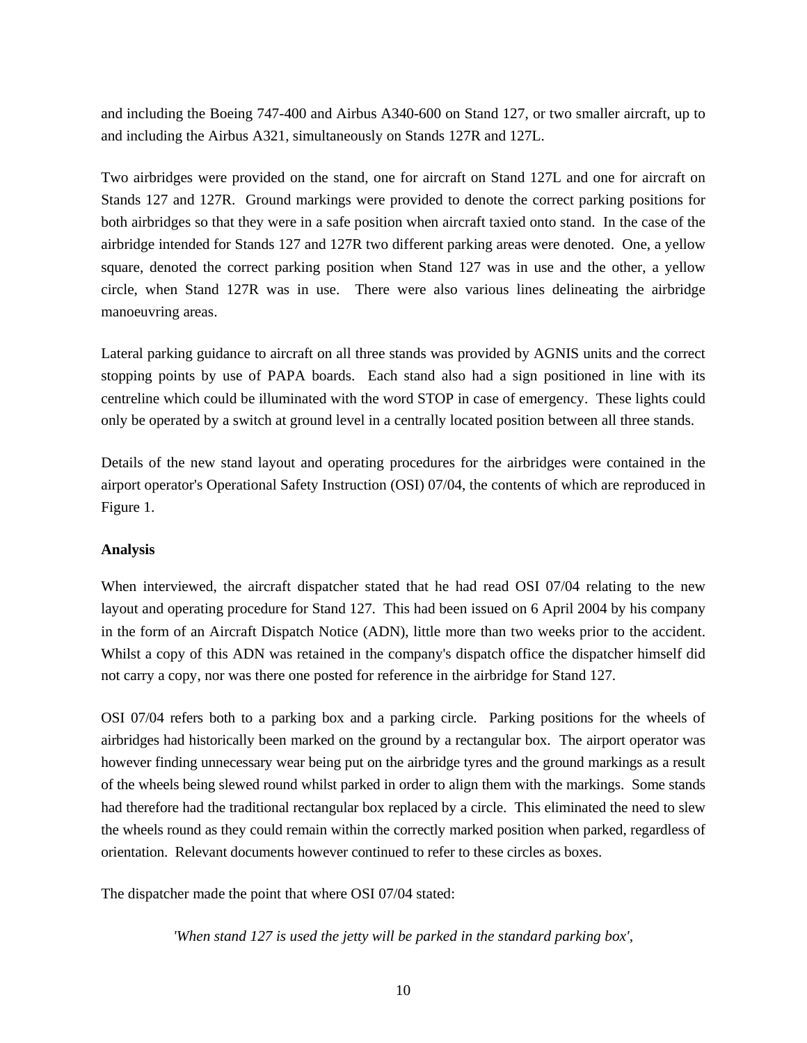and including the Boeing 747-400 and Airbus A340-600 on Stand 127, or two smaller aircraft, up to and including the Airbus A321, simultaneously on Stands 127R and 127L.

Two airbridges were provided on the stand, one for aircraft on Stand 127L and one for aircraft on Stands 127 and 127R. Ground markings were provided to denote the correct parking positions for both airbridges so that they were in a safe position when aircraft taxied onto stand. In the case of the airbridge intended for Stands 127 and 127R two different parking areas were denoted. One, a yellow square, denoted the correct parking position when Stand 127 was in use and the other, a yellow circle, when Stand 127R was in use. There were also various lines delineating the airbridge manoeuvring areas.

Lateral parking guidance to aircraft on all three stands was provided by AGNIS units and the correct stopping points by use of PAPA boards. Each stand also had a sign positioned in line with its centreline which could be illuminated with the word STOP in case of emergency. These lights could only be operated by a switch at ground level in a centrally located position between all three stands.

Details of the new stand layout and operating procedures for the airbridges were contained in the airport operator's Operational Safety Instruction (OSI) 07/04, the contents of which are reproduced in Figure 1.

## **Analysis**

When interviewed, the aircraft dispatcher stated that he had read OSI 07/04 relating to the new layout and operating procedure for Stand 127. This had been issued on 6 April 2004 by his company in the form of an Aircraft Dispatch Notice (ADN), little more than two weeks prior to the accident. Whilst a copy of this ADN was retained in the company's dispatch office the dispatcher himself did not carry a copy, nor was there one posted for reference in the airbridge for Stand 127.

OSI 07/04 refers both to a parking box and a parking circle. Parking positions for the wheels of airbridges had historically been marked on the ground by a rectangular box. The airport operator was however finding unnecessary wear being put on the airbridge tyres and the ground markings as a result of the wheels being slewed round whilst parked in order to align them with the markings. Some stands had therefore had the traditional rectangular box replaced by a circle. This eliminated the need to slew the wheels round as they could remain within the correctly marked position when parked, regardless of orientation. Relevant documents however continued to refer to these circles as boxes.

The dispatcher made the point that where OSI 07/04 stated:

*'When stand 127 is used the jetty will be parked in the standard parking box',*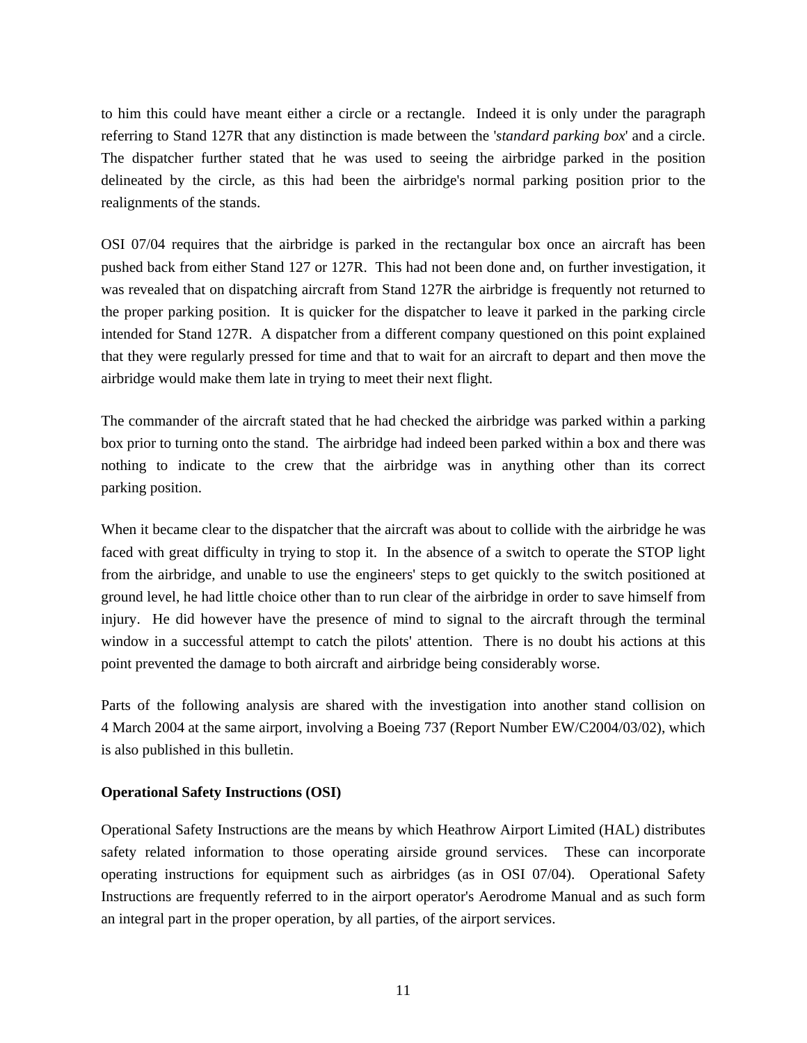to him this could have meant either a circle or a rectangle. Indeed it is only under the paragraph referring to Stand 127R that any distinction is made between the '*standard parking box*' and a circle. The dispatcher further stated that he was used to seeing the airbridge parked in the position delineated by the circle, as this had been the airbridge's normal parking position prior to the realignments of the stands.

OSI 07/04 requires that the airbridge is parked in the rectangular box once an aircraft has been pushed back from either Stand 127 or 127R. This had not been done and, on further investigation, it was revealed that on dispatching aircraft from Stand 127R the airbridge is frequently not returned to the proper parking position. It is quicker for the dispatcher to leave it parked in the parking circle intended for Stand 127R. A dispatcher from a different company questioned on this point explained that they were regularly pressed for time and that to wait for an aircraft to depart and then move the airbridge would make them late in trying to meet their next flight.

The commander of the aircraft stated that he had checked the airbridge was parked within a parking box prior to turning onto the stand. The airbridge had indeed been parked within a box and there was nothing to indicate to the crew that the airbridge was in anything other than its correct parking position.

When it became clear to the dispatcher that the aircraft was about to collide with the airbridge he was faced with great difficulty in trying to stop it. In the absence of a switch to operate the STOP light from the airbridge, and unable to use the engineers' steps to get quickly to the switch positioned at ground level, he had little choice other than to run clear of the airbridge in order to save himself from injury. He did however have the presence of mind to signal to the aircraft through the terminal window in a successful attempt to catch the pilots' attention. There is no doubt his actions at this point prevented the damage to both aircraft and airbridge being considerably worse.

Parts of the following analysis are shared with the investigation into another stand collision on 4 March 2004 at the same airport, involving a Boeing 737 (Report Number EW/C2004/03/02), which is also published in this bulletin.

### **Operational Safety Instructions (OSI)**

Operational Safety Instructions are the means by which Heathrow Airport Limited (HAL) distributes safety related information to those operating airside ground services. These can incorporate operating instructions for equipment such as airbridges (as in OSI 07/04). Operational Safety Instructions are frequently referred to in the airport operator's Aerodrome Manual and as such form an integral part in the proper operation, by all parties, of the airport services.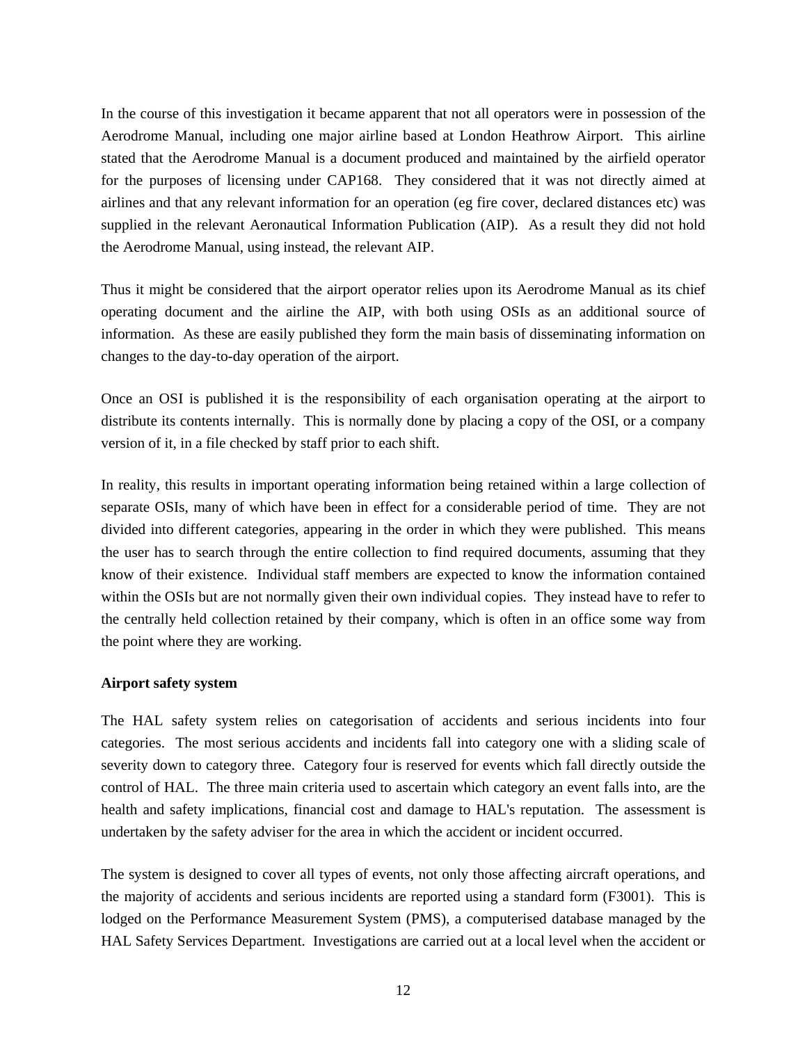In the course of this investigation it became apparent that not all operators were in possession of the Aerodrome Manual, including one major airline based at London Heathrow Airport. This airline stated that the Aerodrome Manual is a document produced and maintained by the airfield operator for the purposes of licensing under CAP168. They considered that it was not directly aimed at airlines and that any relevant information for an operation (eg fire cover, declared distances etc) was supplied in the relevant Aeronautical Information Publication (AIP). As a result they did not hold the Aerodrome Manual, using instead, the relevant AIP.

Thus it might be considered that the airport operator relies upon its Aerodrome Manual as its chief operating document and the airline the AIP, with both using OSIs as an additional source of information. As these are easily published they form the main basis of disseminating information on changes to the day-to-day operation of the airport.

Once an OSI is published it is the responsibility of each organisation operating at the airport to distribute its contents internally. This is normally done by placing a copy of the OSI, or a company version of it, in a file checked by staff prior to each shift.

In reality, this results in important operating information being retained within a large collection of separate OSIs, many of which have been in effect for a considerable period of time. They are not divided into different categories, appearing in the order in which they were published. This means the user has to search through the entire collection to find required documents, assuming that they know of their existence. Individual staff members are expected to know the information contained within the OSIs but are not normally given their own individual copies. They instead have to refer to the centrally held collection retained by their company, which is often in an office some way from the point where they are working.

### **Airport safety system**

The HAL safety system relies on categorisation of accidents and serious incidents into four categories. The most serious accidents and incidents fall into category one with a sliding scale of severity down to category three. Category four is reserved for events which fall directly outside the control of HAL. The three main criteria used to ascertain which category an event falls into, are the health and safety implications, financial cost and damage to HAL's reputation. The assessment is undertaken by the safety adviser for the area in which the accident or incident occurred.

The system is designed to cover all types of events, not only those affecting aircraft operations, and the majority of accidents and serious incidents are reported using a standard form (F3001). This is lodged on the Performance Measurement System (PMS), a computerised database managed by the HAL Safety Services Department. Investigations are carried out at a local level when the accident or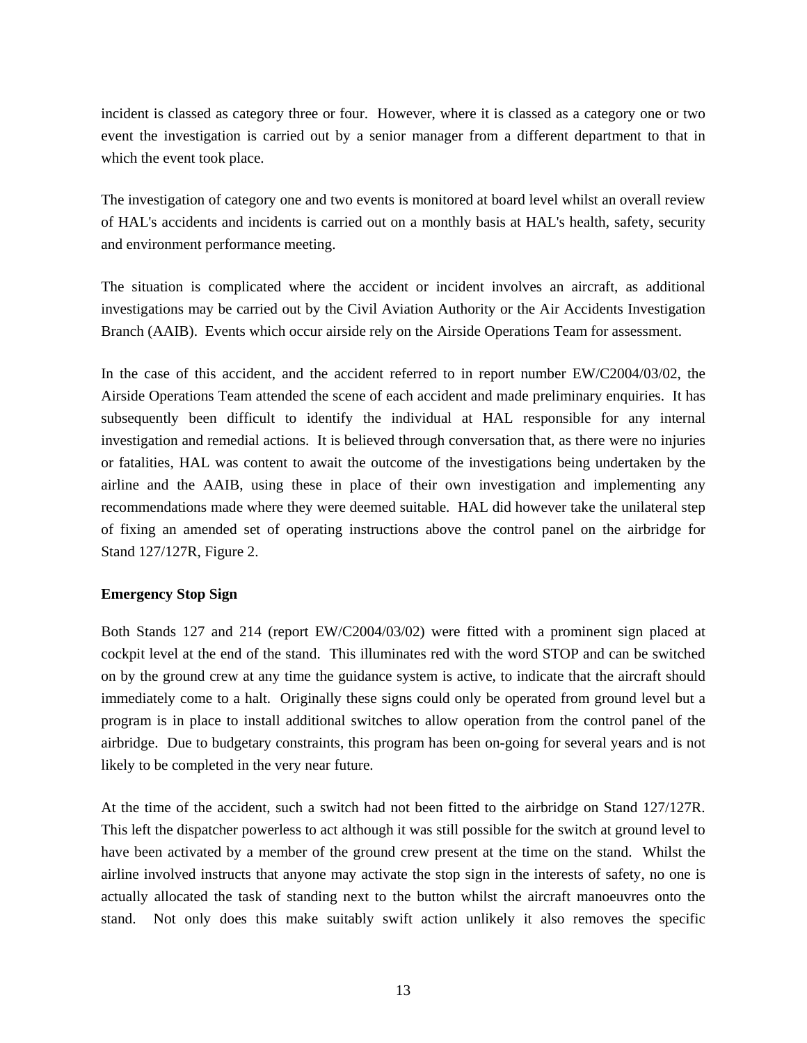incident is classed as category three or four. However, where it is classed as a category one or two event the investigation is carried out by a senior manager from a different department to that in which the event took place.

The investigation of category one and two events is monitored at board level whilst an overall review of HAL's accidents and incidents is carried out on a monthly basis at HAL's health, safety, security and environment performance meeting.

The situation is complicated where the accident or incident involves an aircraft, as additional investigations may be carried out by the Civil Aviation Authority or the Air Accidents Investigation Branch (AAIB). Events which occur airside rely on the Airside Operations Team for assessment.

In the case of this accident, and the accident referred to in report number EW/C2004/03/02, the Airside Operations Team attended the scene of each accident and made preliminary enquiries. It has subsequently been difficult to identify the individual at HAL responsible for any internal investigation and remedial actions. It is believed through conversation that, as there were no injuries or fatalities, HAL was content to await the outcome of the investigations being undertaken by the airline and the AAIB, using these in place of their own investigation and implementing any recommendations made where they were deemed suitable. HAL did however take the unilateral step of fixing an amended set of operating instructions above the control panel on the airbridge for Stand 127/127R, Figure 2.

## **Emergency Stop Sign**

Both Stands 127 and 214 (report EW/C2004/03/02) were fitted with a prominent sign placed at cockpit level at the end of the stand. This illuminates red with the word STOP and can be switched on by the ground crew at any time the guidance system is active, to indicate that the aircraft should immediately come to a halt. Originally these signs could only be operated from ground level but a program is in place to install additional switches to allow operation from the control panel of the airbridge. Due to budgetary constraints, this program has been on-going for several years and is not likely to be completed in the very near future.

At the time of the accident, such a switch had not been fitted to the airbridge on Stand 127/127R. This left the dispatcher powerless to act although it was still possible for the switch at ground level to have been activated by a member of the ground crew present at the time on the stand. Whilst the airline involved instructs that anyone may activate the stop sign in the interests of safety, no one is actually allocated the task of standing next to the button whilst the aircraft manoeuvres onto the stand. Not only does this make suitably swift action unlikely it also removes the specific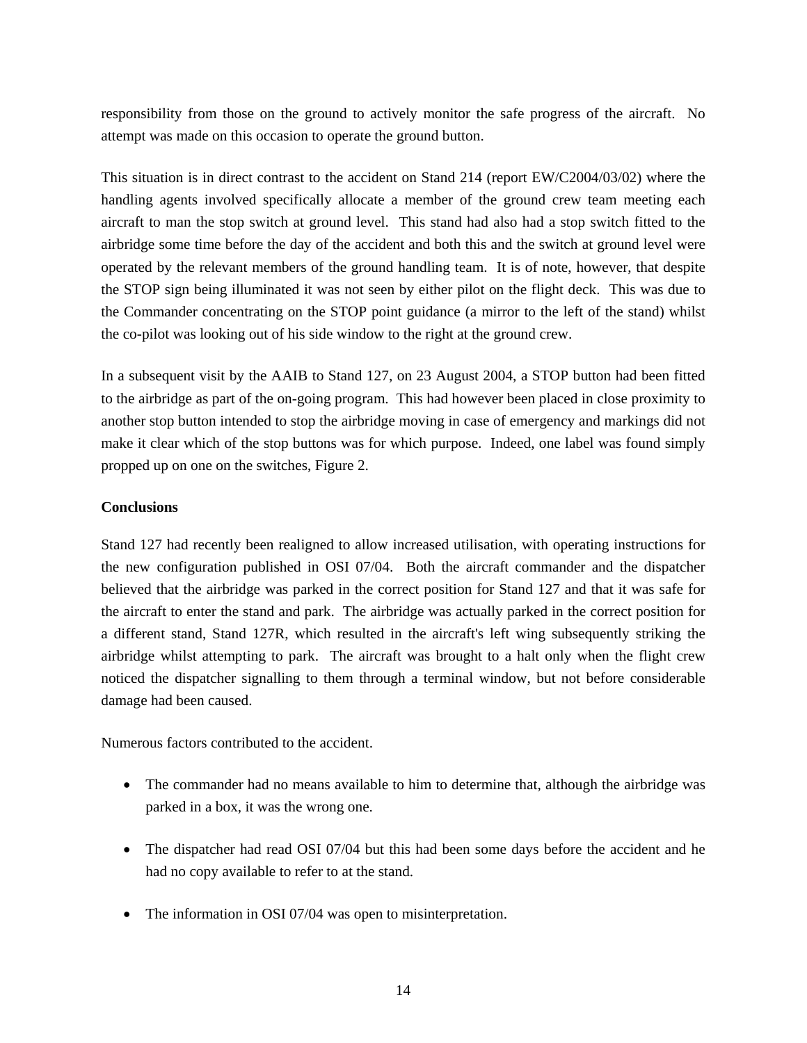responsibility from those on the ground to actively monitor the safe progress of the aircraft. No attempt was made on this occasion to operate the ground button.

This situation is in direct contrast to the accident on Stand 214 (report EW/C2004/03/02) where the handling agents involved specifically allocate a member of the ground crew team meeting each aircraft to man the stop switch at ground level. This stand had also had a stop switch fitted to the airbridge some time before the day of the accident and both this and the switch at ground level were operated by the relevant members of the ground handling team. It is of note, however, that despite the STOP sign being illuminated it was not seen by either pilot on the flight deck. This was due to the Commander concentrating on the STOP point guidance (a mirror to the left of the stand) whilst the co-pilot was looking out of his side window to the right at the ground crew.

In a subsequent visit by the AAIB to Stand 127, on 23 August 2004, a STOP button had been fitted to the airbridge as part of the on-going program. This had however been placed in close proximity to another stop button intended to stop the airbridge moving in case of emergency and markings did not make it clear which of the stop buttons was for which purpose. Indeed, one label was found simply propped up on one on the switches, Figure 2.

## **Conclusions**

Stand 127 had recently been realigned to allow increased utilisation, with operating instructions for the new configuration published in OSI 07/04. Both the aircraft commander and the dispatcher believed that the airbridge was parked in the correct position for Stand 127 and that it was safe for the aircraft to enter the stand and park. The airbridge was actually parked in the correct position for a different stand, Stand 127R, which resulted in the aircraft's left wing subsequently striking the airbridge whilst attempting to park. The aircraft was brought to a halt only when the flight crew noticed the dispatcher signalling to them through a terminal window, but not before considerable damage had been caused.

Numerous factors contributed to the accident.

- The commander had no means available to him to determine that, although the airbridge was parked in a box, it was the wrong one.
- The dispatcher had read OSI 07/04 but this had been some days before the accident and he had no copy available to refer to at the stand.
- The information in OSI 07/04 was open to misinterpretation.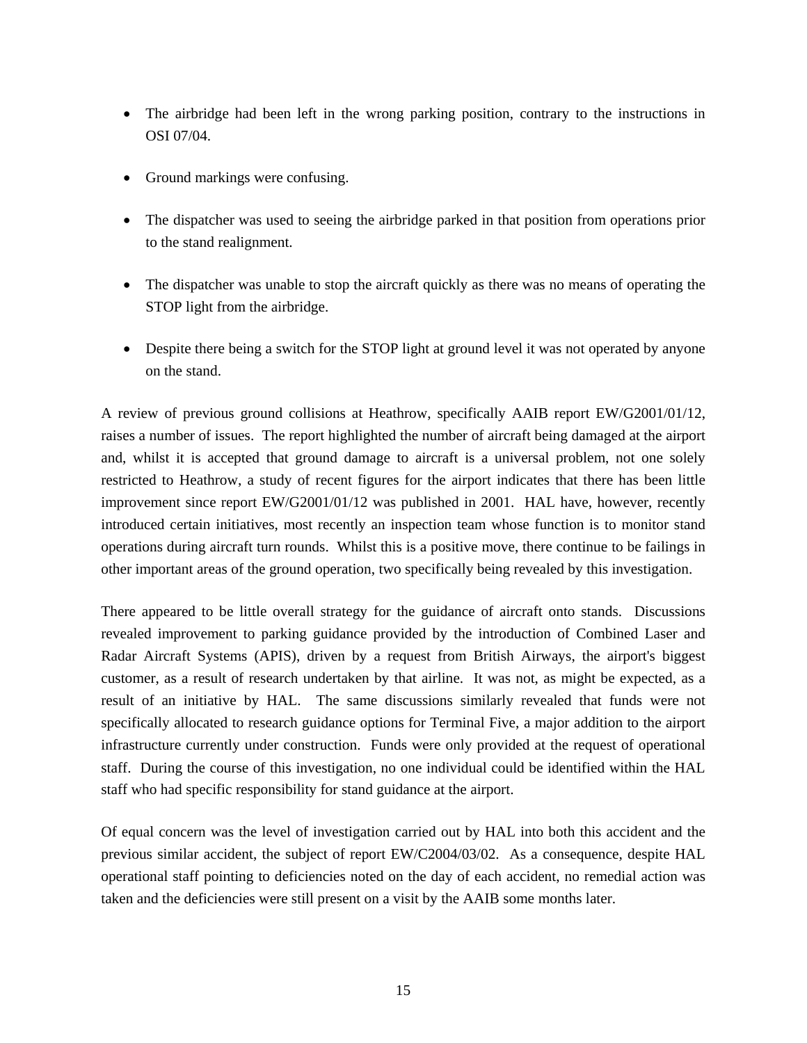- The airbridge had been left in the wrong parking position, contrary to the instructions in OSI 07/04.
- Ground markings were confusing.
- The dispatcher was used to seeing the airbridge parked in that position from operations prior to the stand realignment.
- The dispatcher was unable to stop the aircraft quickly as there was no means of operating the STOP light from the airbridge.
- Despite there being a switch for the STOP light at ground level it was not operated by anyone on the stand.

A review of previous ground collisions at Heathrow, specifically AAIB report EW/G2001/01/12, raises a number of issues. The report highlighted the number of aircraft being damaged at the airport and, whilst it is accepted that ground damage to aircraft is a universal problem, not one solely restricted to Heathrow, a study of recent figures for the airport indicates that there has been little improvement since report EW/G2001/01/12 was published in 2001. HAL have, however, recently introduced certain initiatives, most recently an inspection team whose function is to monitor stand operations during aircraft turn rounds. Whilst this is a positive move, there continue to be failings in other important areas of the ground operation, two specifically being revealed by this investigation.

There appeared to be little overall strategy for the guidance of aircraft onto stands. Discussions revealed improvement to parking guidance provided by the introduction of Combined Laser and Radar Aircraft Systems (APIS), driven by a request from British Airways, the airport's biggest customer, as a result of research undertaken by that airline. It was not, as might be expected, as a result of an initiative by HAL. The same discussions similarly revealed that funds were not specifically allocated to research guidance options for Terminal Five, a major addition to the airport infrastructure currently under construction. Funds were only provided at the request of operational staff. During the course of this investigation, no one individual could be identified within the HAL staff who had specific responsibility for stand guidance at the airport.

Of equal concern was the level of investigation carried out by HAL into both this accident and the previous similar accident, the subject of report EW/C2004/03/02. As a consequence, despite HAL operational staff pointing to deficiencies noted on the day of each accident, no remedial action was taken and the deficiencies were still present on a visit by the AAIB some months later.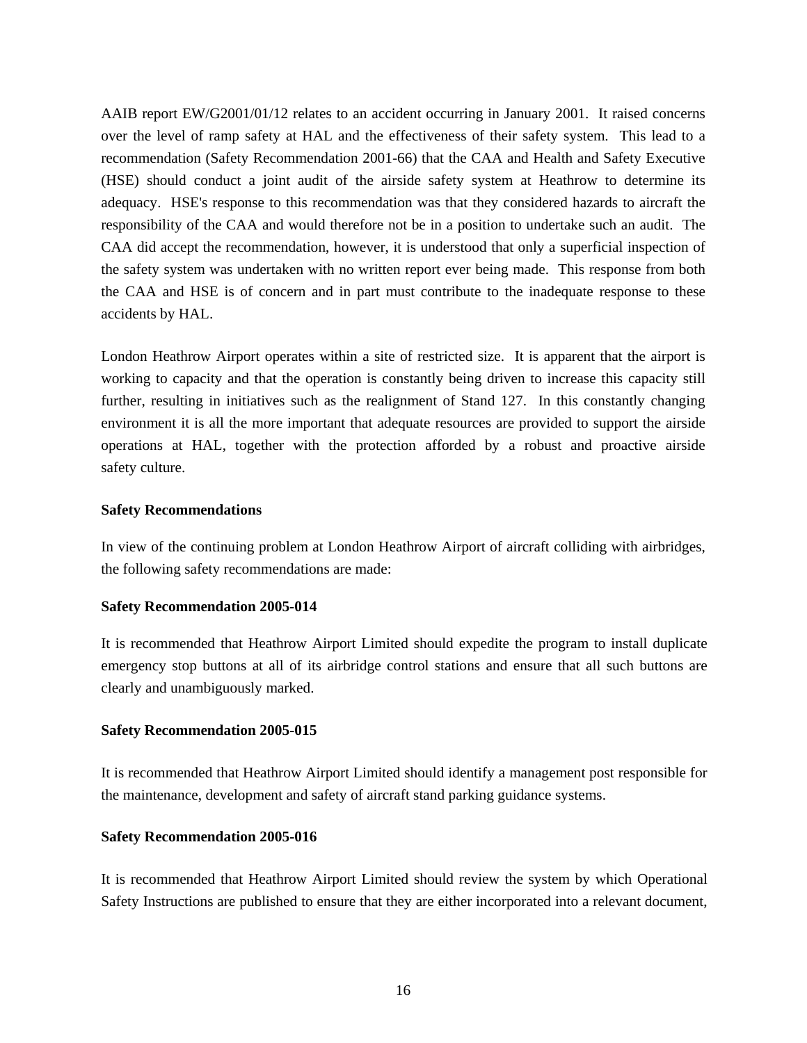AAIB report EW/G2001/01/12 relates to an accident occurring in January 2001. It raised concerns over the level of ramp safety at HAL and the effectiveness of their safety system. This lead to a recommendation (Safety Recommendation 2001-66) that the CAA and Health and Safety Executive (HSE) should conduct a joint audit of the airside safety system at Heathrow to determine its adequacy. HSE's response to this recommendation was that they considered hazards to aircraft the responsibility of the CAA and would therefore not be in a position to undertake such an audit. The CAA did accept the recommendation, however, it is understood that only a superficial inspection of the safety system was undertaken with no written report ever being made. This response from both the CAA and HSE is of concern and in part must contribute to the inadequate response to these accidents by HAL.

London Heathrow Airport operates within a site of restricted size. It is apparent that the airport is working to capacity and that the operation is constantly being driven to increase this capacity still further, resulting in initiatives such as the realignment of Stand 127. In this constantly changing environment it is all the more important that adequate resources are provided to support the airside operations at HAL, together with the protection afforded by a robust and proactive airside safety culture.

### **Safety Recommendations**

In view of the continuing problem at London Heathrow Airport of aircraft colliding with airbridges, the following safety recommendations are made:

### **Safety Recommendation 2005-014**

It is recommended that Heathrow Airport Limited should expedite the program to install duplicate emergency stop buttons at all of its airbridge control stations and ensure that all such buttons are clearly and unambiguously marked.

#### **Safety Recommendation 2005-015**

It is recommended that Heathrow Airport Limited should identify a management post responsible for the maintenance, development and safety of aircraft stand parking guidance systems.

#### **Safety Recommendation 2005-016**

It is recommended that Heathrow Airport Limited should review the system by which Operational Safety Instructions are published to ensure that they are either incorporated into a relevant document,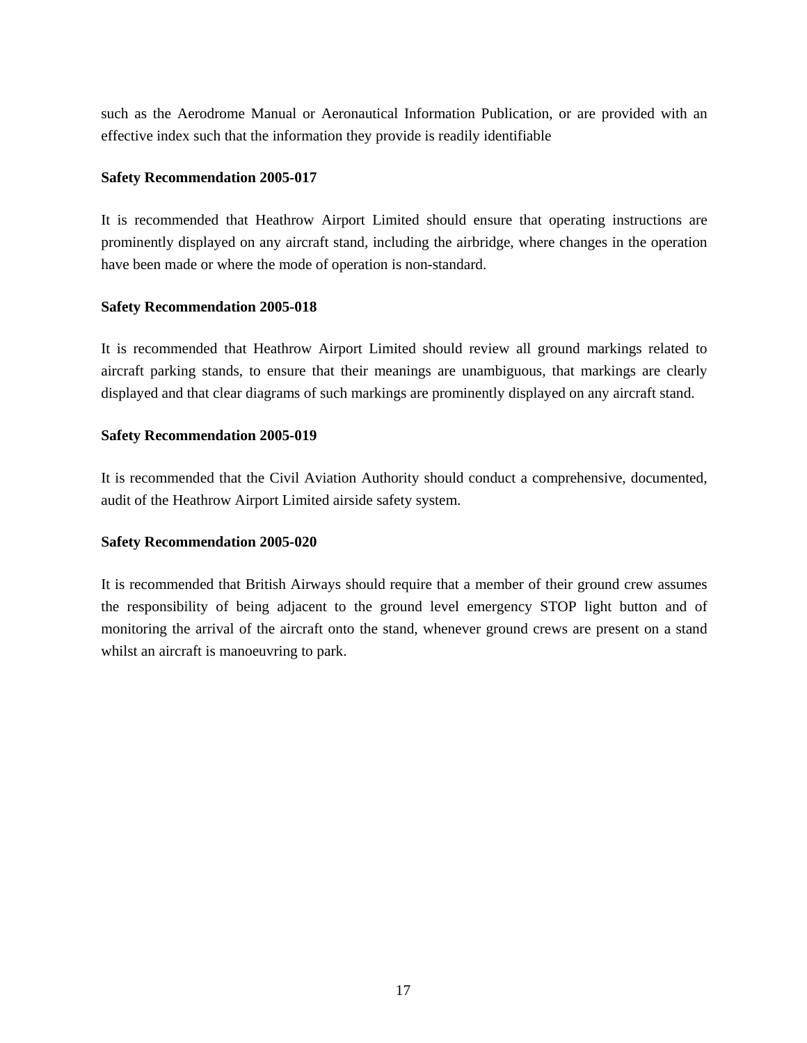such as the Aerodrome Manual or Aeronautical Information Publication, or are provided with an effective index such that the information they provide is readily identifiable

## **Safety Recommendation 2005-017**

It is recommended that Heathrow Airport Limited should ensure that operating instructions are prominently displayed on any aircraft stand, including the airbridge, where changes in the operation have been made or where the mode of operation is non-standard.

## **Safety Recommendation 2005-018**

It is recommended that Heathrow Airport Limited should review all ground markings related to aircraft parking stands, to ensure that their meanings are unambiguous, that markings are clearly displayed and that clear diagrams of such markings are prominently displayed on any aircraft stand.

## **Safety Recommendation 2005-019**

It is recommended that the Civil Aviation Authority should conduct a comprehensive, documented, audit of the Heathrow Airport Limited airside safety system.

## **Safety Recommendation 2005-020**

It is recommended that British Airways should require that a member of their ground crew assumes the responsibility of being adjacent to the ground level emergency STOP light button and of monitoring the arrival of the aircraft onto the stand, whenever ground crews are present on a stand whilst an aircraft is manoeuvring to park.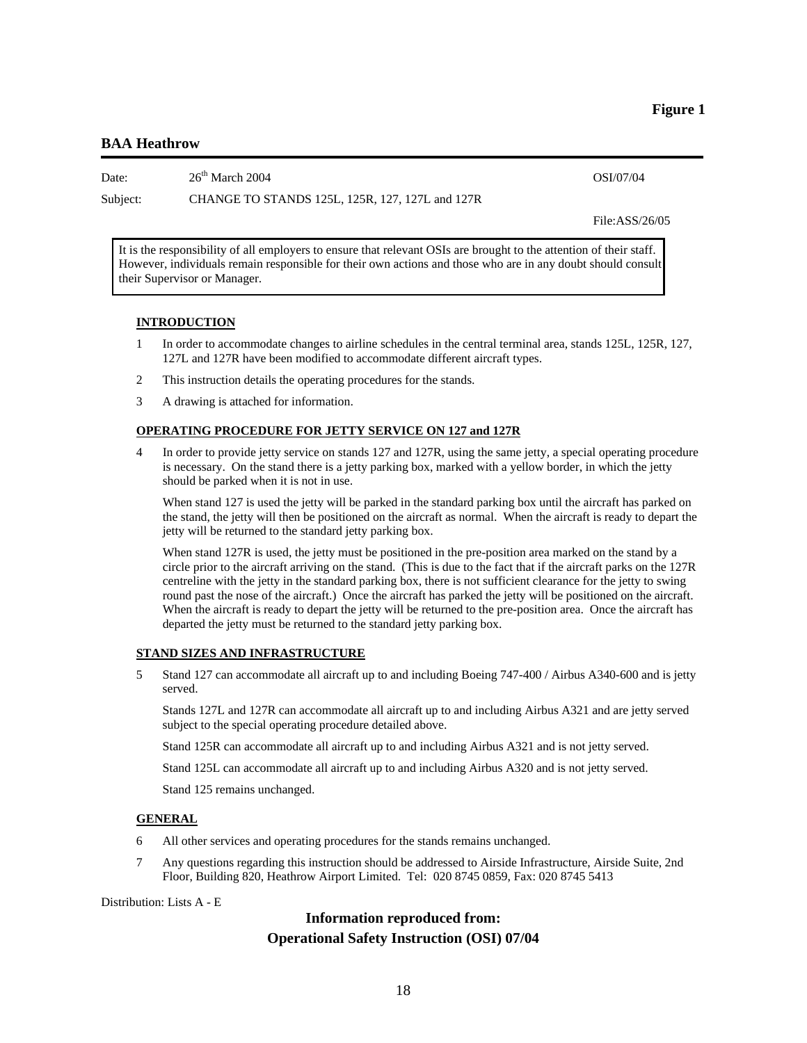### **BAA Heathrow**

Date:  $26^{\text{th}}$  March 2004  $051/07/04$ 

Subject: CHANGE TO STANDS 125L, 125R, 127, 127L and 127R

File:ASS/26/05

It is the responsibility of all employers to ensure that relevant OSIs are brought to the attention of their staff. However, individuals remain responsible for their own actions and those who are in any doubt should consult their Supervisor or Manager.

#### **INTRODUCTION**

- 1 In order to accommodate changes to airline schedules in the central terminal area, stands 125L, 125R, 127, 127L and 127R have been modified to accommodate different aircraft types.
- 2 This instruction details the operating procedures for the stands.
- 3 A drawing is attached for information.

#### **OPERATING PROCEDURE FOR JETTY SERVICE ON 127 and 127R**

4 In order to provide jetty service on stands 127 and 127R, using the same jetty, a special operating procedure is necessary. On the stand there is a jetty parking box, marked with a yellow border, in which the jetty should be parked when it is not in use.

 When stand 127 is used the jetty will be parked in the standard parking box until the aircraft has parked on the stand, the jetty will then be positioned on the aircraft as normal. When the aircraft is ready to depart the jetty will be returned to the standard jetty parking box.

 When stand 127R is used, the jetty must be positioned in the pre-position area marked on the stand by a circle prior to the aircraft arriving on the stand. (This is due to the fact that if the aircraft parks on the 127R centreline with the jetty in the standard parking box, there is not sufficient clearance for the jetty to swing round past the nose of the aircraft.) Once the aircraft has parked the jetty will be positioned on the aircraft. When the aircraft is ready to depart the jetty will be returned to the pre-position area. Once the aircraft has departed the jetty must be returned to the standard jetty parking box.

#### **STAND SIZES AND INFRASTRUCTURE**

5 Stand 127 can accommodate all aircraft up to and including Boeing 747-400 / Airbus A340-600 and is jetty served.

 Stands 127L and 127R can accommodate all aircraft up to and including Airbus A321 and are jetty served subject to the special operating procedure detailed above.

Stand 125R can accommodate all aircraft up to and including Airbus A321 and is not jetty served.

Stand 125L can accommodate all aircraft up to and including Airbus A320 and is not jetty served.

Stand 125 remains unchanged.

## **GENERAL**

- 6 All other services and operating procedures for the stands remains unchanged.
- 7 Any questions regarding this instruction should be addressed to Airside Infrastructure, Airside Suite, 2nd Floor, Building 820, Heathrow Airport Limited. Tel: 020 8745 0859, Fax: 020 8745 5413

Distribution: Lists A - E

## **Information reproduced from: Operational Safety Instruction (OSI) 07/04**